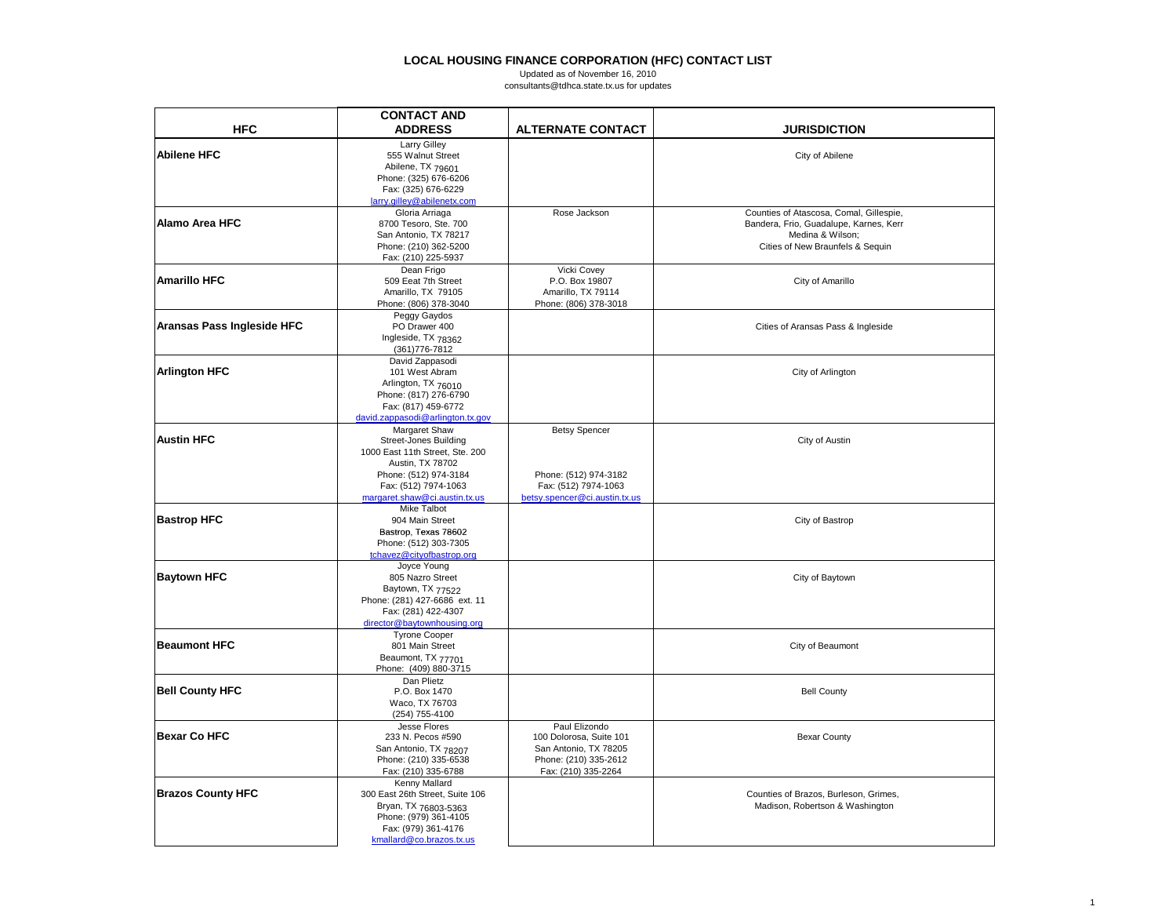# **LOCAL HOUSING FINANCE CORPORATION (HFC) CONTACT LIST**<br>Updated as of November 16, 2010<br>consultants@tdhca.state.tx.us for updates

|                            | <b>CONTACT AND</b>                           |                               |                                         |
|----------------------------|----------------------------------------------|-------------------------------|-----------------------------------------|
| <b>HFC</b>                 | <b>ADDRESS</b>                               | <b>ALTERNATE CONTACT</b>      | <b>JURISDICTION</b>                     |
|                            | <b>Larry Gilley</b>                          |                               |                                         |
| <b>Abilene HFC</b>         | 555 Walnut Street                            |                               | City of Abilene                         |
|                            | Abilene, TX 79601                            |                               |                                         |
|                            | Phone: (325) 676-6206                        |                               |                                         |
|                            | Fax: (325) 676-6229                          |                               |                                         |
|                            | larry.gilley@abilenetx.com                   |                               |                                         |
|                            | Gloria Arriaga                               | Rose Jackson                  | Counties of Atascosa, Comal, Gillespie, |
| Alamo Area HFC             | 8700 Tesoro, Ste. 700                        |                               | Bandera, Frio, Guadalupe, Karnes, Kerr  |
|                            | San Antonio, TX 78217                        |                               | Medina & Wilson;                        |
|                            | Phone: (210) 362-5200                        |                               | Cities of New Braunfels & Sequin        |
|                            | Fax: (210) 225-5937                          |                               |                                         |
|                            | Dean Frigo                                   | Vicki Covey                   |                                         |
| <b>Amarillo HFC</b>        | 509 Eeat 7th Street                          | P.O. Box 19807                | City of Amarillo                        |
|                            | Amarillo, TX 79105                           | Amarillo, TX 79114            |                                         |
|                            | Phone: (806) 378-3040                        | Phone: (806) 378-3018         |                                         |
|                            | Peggy Gaydos                                 |                               |                                         |
| Aransas Pass Ingleside HFC | PO Drawer 400                                |                               | Cities of Aransas Pass & Ingleside      |
|                            | Ingleside, TX 78362                          |                               |                                         |
|                            | (361) 776-7812                               |                               |                                         |
|                            | David Zappasodi                              |                               |                                         |
| <b>Arlington HFC</b>       | 101 West Abram                               |                               | City of Arlington                       |
|                            | Arlington, TX 76010<br>Phone: (817) 276-6790 |                               |                                         |
|                            | Fax: (817) 459-6772                          |                               |                                         |
|                            | david.zappasodi@arlington.tx.gov             |                               |                                         |
|                            | Margaret Shaw                                | <b>Betsy Spencer</b>          |                                         |
| <b>Austin HFC</b>          | <b>Street-Jones Building</b>                 |                               | City of Austin                          |
|                            | 1000 East 11th Street, Ste. 200              |                               |                                         |
|                            | Austin, TX 78702                             |                               |                                         |
|                            | Phone: (512) 974-3184                        | Phone: (512) 974-3182         |                                         |
|                            | Fax: (512) 7974-1063                         | Fax: (512) 7974-1063          |                                         |
|                            | margaret.shaw@ci.austin.tx.us                | betsy.spencer@ci.austin.tx.us |                                         |
|                            | <b>Mike Talbot</b>                           |                               |                                         |
| <b>Bastrop HFC</b>         | 904 Main Street                              |                               | City of Bastrop                         |
|                            | Bastrop, Texas 78602                         |                               |                                         |
|                            | Phone: (512) 303-7305                        |                               |                                         |
|                            | tchavez@cityofbastrop.org                    |                               |                                         |
|                            | Joyce Young                                  |                               |                                         |
| <b>Baytown HFC</b>         | 805 Nazro Street                             |                               | City of Baytown                         |
|                            | Baytown, TX 77522                            |                               |                                         |
|                            | Phone: (281) 427-6686 ext. 11                |                               |                                         |
|                            | Fax: (281) 422-4307                          |                               |                                         |
|                            | director@baytownhousing.org                  |                               |                                         |
| <b>Beaumont HFC</b>        | <b>Tyrone Cooper</b>                         |                               |                                         |
|                            | 801 Main Street                              |                               | City of Beaumont                        |
|                            | Beaumont, TX 77701<br>Phone: (409) 880-3715  |                               |                                         |
|                            | Dan Plietz                                   |                               |                                         |
| <b>Bell County HFC</b>     | P.O. Box 1470                                |                               | <b>Bell County</b>                      |
|                            | Waco, TX 76703                               |                               |                                         |
|                            | (254) 755-4100                               |                               |                                         |
|                            | Jesse Flores                                 | Paul Elizondo                 |                                         |
| Bexar Co HFC               | 233 N. Pecos #590                            | 100 Dolorosa, Suite 101       | <b>Bexar County</b>                     |
|                            | San Antonio, TX 78207                        | San Antonio, TX 78205         |                                         |
|                            | Phone: (210) 335-6538                        | Phone: (210) 335-2612         |                                         |
|                            | Fax: (210) 335-6788                          | Fax: (210) 335-2264           |                                         |
|                            | Kenny Mallard                                |                               |                                         |
| <b>Brazos County HFC</b>   | 300 East 26th Street, Suite 106              |                               | Counties of Brazos, Burleson, Grimes,   |
|                            | Bryan, TX 76803-5363                         |                               | Madison, Robertson & Washington         |
|                            | Phone: (979) 361-4105                        |                               |                                         |
|                            | Fax: (979) 361-4176                          |                               |                                         |
|                            | kmallard@co.brazos.txt.us                    |                               |                                         |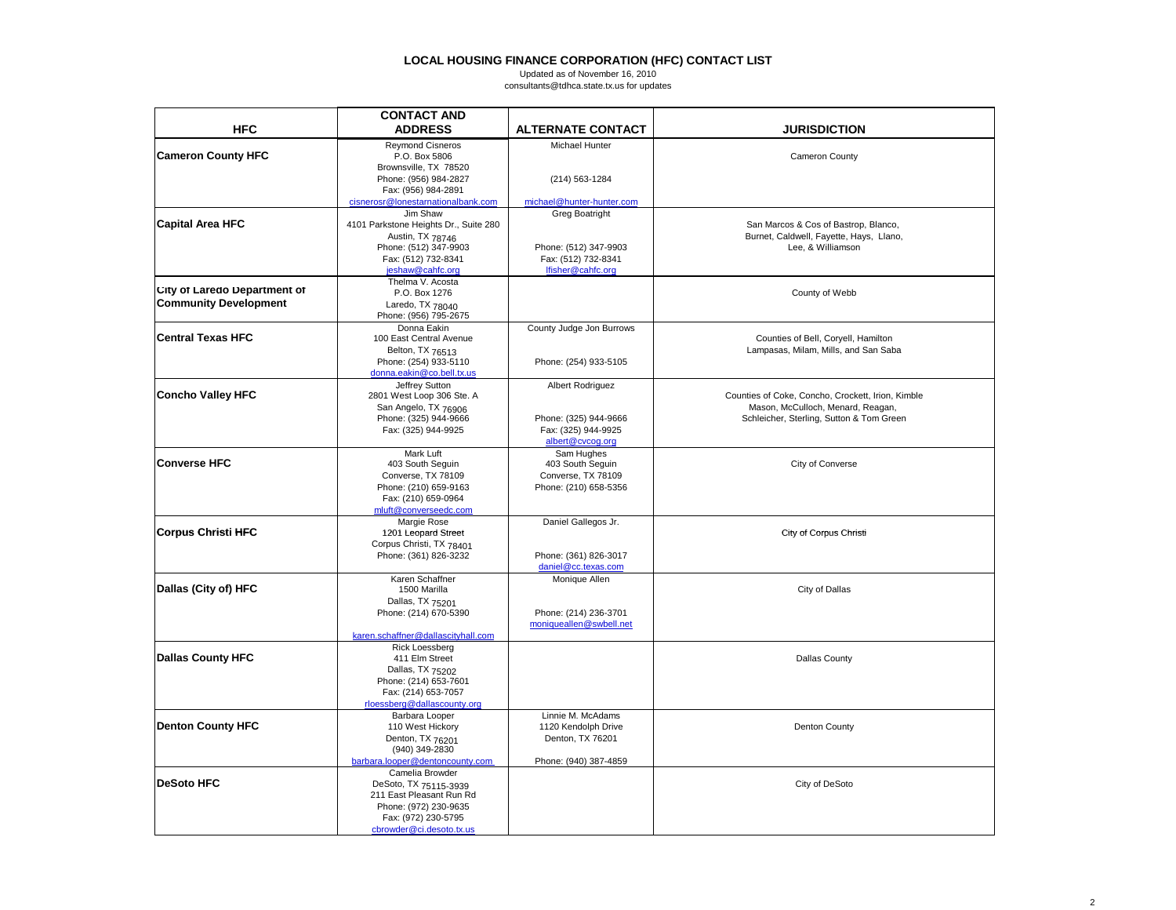|                                     | <b>CONTACT AND</b>                                |                           |                                                                                        |
|-------------------------------------|---------------------------------------------------|---------------------------|----------------------------------------------------------------------------------------|
| <b>HFC</b>                          | <b>ADDRESS</b>                                    | <b>ALTERNATE CONTACT</b>  | JURISDICTION                                                                           |
| <b>Cameron County HFC</b>           | <b>Reymond Cisneros</b><br>P.O. Box 5806          | Michael Hunter            | Cameron County                                                                         |
|                                     | Brownsville, TX 78520                             |                           |                                                                                        |
|                                     | Phone: (956) 984-2827<br>Fax: (956) 984-2891      | (214) 563-1284            |                                                                                        |
|                                     | cisnerosr@lonestarnationalbank.com                | michael@hunter-hunter.com |                                                                                        |
| <b>Capital Area HFC</b>             | Jim Shaw<br>4101 Parkstone Heights Dr., Suite 280 | <b>Greg Boatright</b>     | San Marcos & Cos of Bastrop, Blanco,                                                   |
|                                     | Austin, TX 78746                                  |                           | Burnet, Caldwell, Fayette, Hays, Llano,                                                |
|                                     | Phone: (512) 347-9903                             | Phone: (512) 347-9903     | Lee, & Williamson                                                                      |
|                                     | Fax: (512) 732-8341                               | Fax: (512) 732-8341       |                                                                                        |
|                                     | jeshaw@cahfc.org                                  | lfisher@cahfc.org         |                                                                                        |
| <b>City of Laredo Department of</b> | Thelma V. Acosta                                  |                           |                                                                                        |
|                                     | P.O. Box 1276                                     |                           | County of Webb                                                                         |
| <b>Community Development</b>        | Laredo, TX 78040<br>Phone: (956) 795-2675         |                           |                                                                                        |
|                                     | Donna Eakin                                       | County Judge Jon Burrows  |                                                                                        |
| Central Texas HFC                   | 100 East Central Avenue                           |                           | Counties of Bell, Coryell, Hamilton                                                    |
|                                     | Belton, TX 76513                                  |                           | Lampasas, Milam, Mills, and San Saba                                                   |
|                                     | Phone: (254) 933-5110                             | Phone: (254) 933-5105     |                                                                                        |
|                                     | donna.eakin@co.bell.tx.us                         |                           |                                                                                        |
|                                     | Jeffrey Sutton                                    | Albert Rodriguez          |                                                                                        |
| Concho Valley HFC                   | 2801 West Loop 306 Ste. A                         |                           | Counties of Coke, Concho, Crockett, Irion, Kimble<br>Mason, McCulloch, Menard, Reagan, |
|                                     | San Angelo, TX 76906<br>Phone: (325) 944-9666     | Phone: (325) 944-9666     | Schleicher, Sterling, Sutton & Tom Green                                               |
|                                     | Fax: (325) 944-9925                               | Fax: (325) 944-9925       |                                                                                        |
|                                     |                                                   | albert@cvcog.org          |                                                                                        |
|                                     | Mark Luft                                         | Sam Hughes                |                                                                                        |
| <b>Converse HFC</b>                 | 403 South Seguin                                  | 403 South Seguin          | City of Converse                                                                       |
|                                     | Converse, TX 78109                                | Converse, TX 78109        |                                                                                        |
|                                     | Phone: (210) 659-9163<br>Fax: (210) 659-0964      | Phone: (210) 658-5356     |                                                                                        |
|                                     | mluft@converseedc.com                             |                           |                                                                                        |
|                                     | Margie Rose                                       | Daniel Gallegos Jr.       |                                                                                        |
| Corpus Christi HFC                  | 1201 Leopard Street                               |                           | City of Corpus Christi                                                                 |
|                                     | Corpus Christi, TX 78401                          |                           |                                                                                        |
|                                     | Phone: (361) 826-3232                             | Phone: (361) 826-3017     |                                                                                        |
|                                     |                                                   | daniel@cc.texas.com       |                                                                                        |
| Dallas (City of) HFC                | Karen Schaffner<br>1500 Marilla                   | Monique Allen             | City of Dallas                                                                         |
|                                     | Dallas, TX 75201                                  |                           |                                                                                        |
|                                     | Phone: (214) 670-5390                             | Phone: (214) 236-3701     |                                                                                        |
|                                     |                                                   | moniqueallen@swbell.net   |                                                                                        |
|                                     | karen.schaffner@dallascityhall.com                |                           |                                                                                        |
|                                     | <b>Rick Loessberg</b>                             |                           |                                                                                        |
| <b>Dallas County HFC</b>            | 411 Elm Street                                    |                           | <b>Dallas County</b>                                                                   |
|                                     | Dallas, TX 75202<br>Phone: (214) 653-7601         |                           |                                                                                        |
|                                     | Fax: (214) 653-7057                               |                           |                                                                                        |
|                                     | rloessberg@dallascounty.org                       |                           |                                                                                        |
|                                     | Barbara Looper                                    | Linnie M. McAdams         |                                                                                        |
| <b>Denton County HFC</b>            | 110 West Hickory                                  | 1120 Kendolph Drive       | <b>Denton County</b>                                                                   |
|                                     | Denton, TX 76201                                  | Denton, TX 76201          |                                                                                        |
|                                     | (940) 349-2830<br>barbara.looper@dentoncounty.com | Phone: (940) 387-4859     |                                                                                        |
|                                     | Camelia Browder                                   |                           |                                                                                        |
| <b>DeSoto HFC</b>                   | DeSoto, TX 75115-3939                             |                           | City of DeSoto                                                                         |
|                                     | 211 East Pleasant Run Rd                          |                           |                                                                                        |
|                                     | Phone: (972) 230-9635                             |                           |                                                                                        |
|                                     | Fax: (972) 230-5795                               |                           |                                                                                        |
|                                     | chrowder@ci.desoto.tx.us                          |                           |                                                                                        |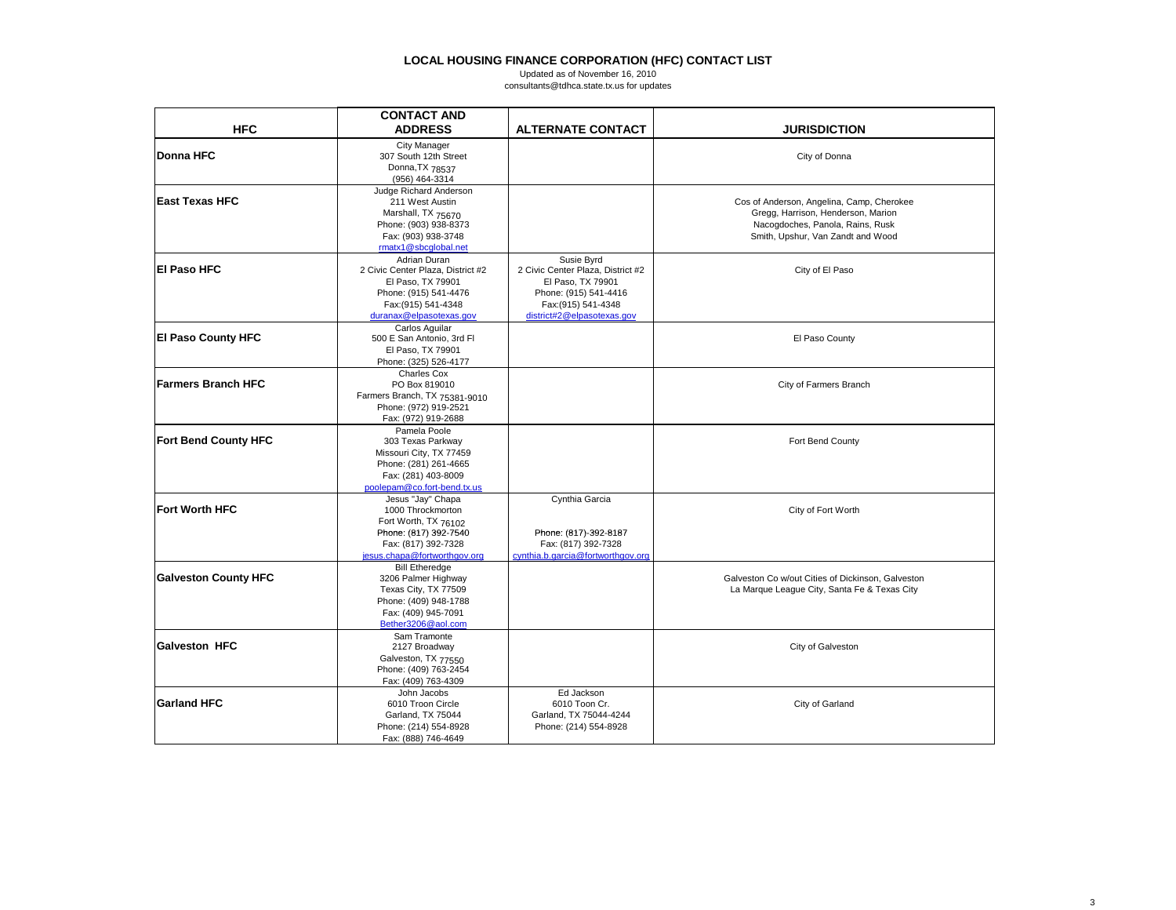|                             | <b>CONTACT AND</b>                                                                                                                                |                                                                                                                                                    |                                                                                                                                                          |
|-----------------------------|---------------------------------------------------------------------------------------------------------------------------------------------------|----------------------------------------------------------------------------------------------------------------------------------------------------|----------------------------------------------------------------------------------------------------------------------------------------------------------|
| <b>HFC</b>                  | <b>ADDRESS</b>                                                                                                                                    | <b>ALTERNATE CONTACT</b>                                                                                                                           | <b>JURISDICTION</b>                                                                                                                                      |
| <b>Donna HFC</b>            | City Manager<br>307 South 12th Street<br>Donna, TX 78537<br>(956) 464-3314                                                                        |                                                                                                                                                    | City of Donna                                                                                                                                            |
| <b>East Texas HFC</b>       | Judge Richard Anderson<br>211 West Austin<br>Marshall, TX 75670<br>Phone: (903) 938-8373<br>Fax: (903) 938-3748<br>rmatx1@sbcqlobal.net           |                                                                                                                                                    | Cos of Anderson, Angelina, Camp, Cherokee<br>Gregg, Harrison, Henderson, Marion<br>Nacogdoches, Panola, Rains, Rusk<br>Smith, Upshur, Van Zandt and Wood |
| <b>El Paso HFC</b>          | Adrian Duran<br>2 Civic Center Plaza, District #2<br>El Paso, TX 79901<br>Phone: (915) 541-4476<br>Fax: (915) 541-4348<br>duranax@elpasotexas.gov | Susie Byrd<br>2 Civic Center Plaza, District #2<br>El Paso, TX 79901<br>Phone: (915) 541-4416<br>Fax: (915) 541-4348<br>district#2@elpasotexas.gov | City of El Paso                                                                                                                                          |
| <b>El Paso County HFC</b>   | Carlos Aguilar<br>500 E San Antonio, 3rd Fl<br>El Paso, TX 79901<br>Phone: (325) 526-4177                                                         |                                                                                                                                                    | El Paso County                                                                                                                                           |
| <b>Farmers Branch HFC</b>   | Charles Cox<br>PO Box 819010<br>Farmers Branch, TX 75381-9010<br>Phone: (972) 919-2521<br>Fax: (972) 919-2688                                     |                                                                                                                                                    | City of Farmers Branch                                                                                                                                   |
| <b>Fort Bend County HFC</b> | Pamela Poole<br>303 Texas Parkway<br>Missouri City, TX 77459<br>Phone: (281) 261-4665<br>Fax: (281) 403-8009<br>poolepam@co.fort-bend.tx.us       |                                                                                                                                                    | Fort Bend County                                                                                                                                         |
| <b>Fort Worth HFC</b>       | Jesus "Jay" Chapa<br>1000 Throckmorton<br>Fort Worth, TX 76102<br>Phone: (817) 392-7540<br>Fax: (817) 392-7328<br>jesus.chapa@fortworthgov.org    | Cynthia Garcia<br>Phone: (817)-392-8187<br>Fax: (817) 392-7328<br>cynthia.b.garcia@fortworthgov.org                                                | City of Fort Worth                                                                                                                                       |
| <b>Galveston County HFC</b> | <b>Bill Etheredge</b><br>3206 Palmer Highway<br>Texas City, TX 77509<br>Phone: (409) 948-1788<br>Fax: (409) 945-7091<br>Bether3206@aol.com        |                                                                                                                                                    | Galveston Co w/out Cities of Dickinson, Galveston<br>La Marque League City, Santa Fe & Texas City                                                        |
| <b>Galveston HFC</b>        | Sam Tramonte<br>2127 Broadway<br>Galveston, TX 77550<br>Phone: (409) 763-2454<br>Fax: (409) 763-4309                                              |                                                                                                                                                    | City of Galveston                                                                                                                                        |
| <b>Garland HFC</b>          | John Jacobs<br>6010 Troon Circle<br>Garland, TX 75044<br>Phone: (214) 554-8928<br>Fax: (888) 746-4649                                             | Ed Jackson<br>6010 Toon Cr.<br>Garland, TX 75044-4244<br>Phone: (214) 554-8928                                                                     | City of Garland                                                                                                                                          |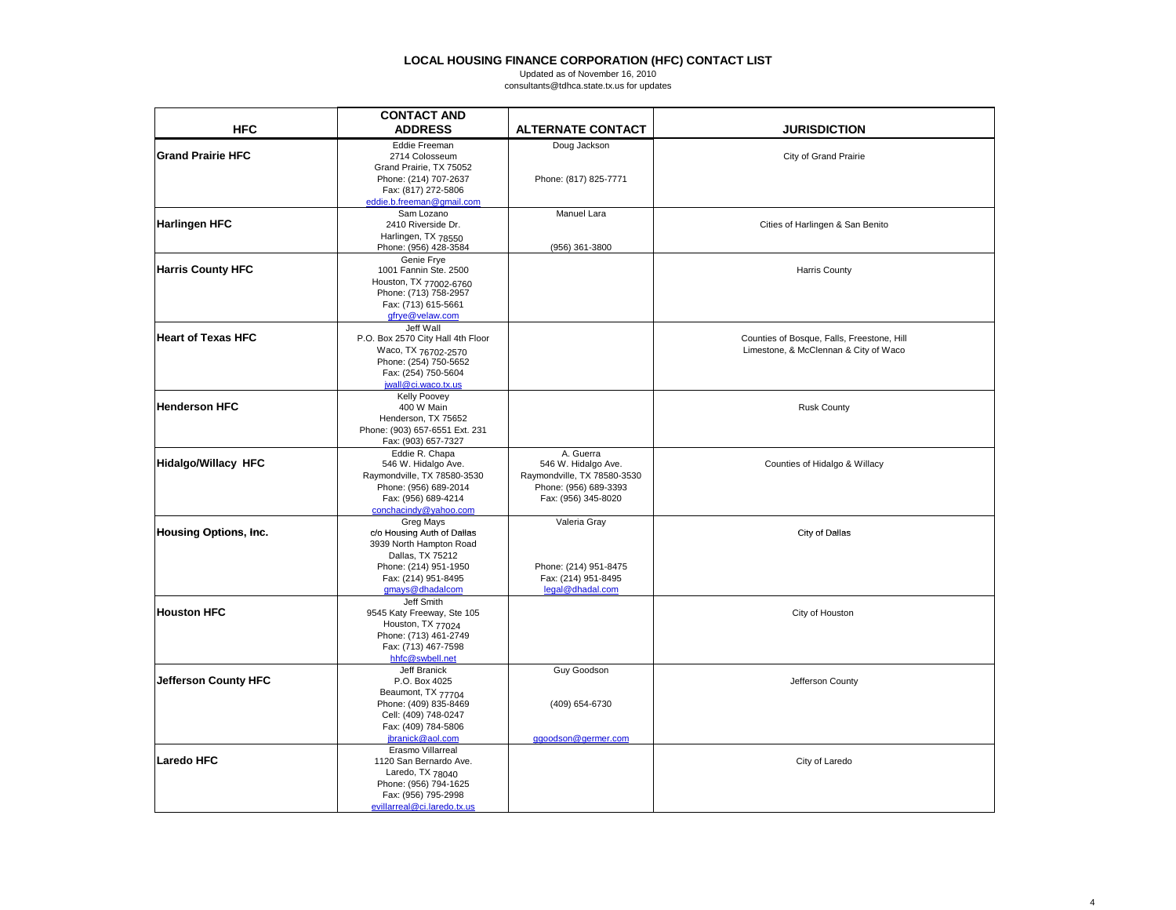|                              | <b>CONTACT AND</b>                                                      |                                                      |                                            |
|------------------------------|-------------------------------------------------------------------------|------------------------------------------------------|--------------------------------------------|
| <b>HFC</b>                   | <b>ADDRESS</b>                                                          | <b>ALTERNATE CONTACT</b>                             | <b>JURISDICTION</b>                        |
| <b>Grand Prairie HFC</b>     | Eddie Freeman<br>2714 Colosseum                                         | Doug Jackson                                         | City of Grand Prairie                      |
|                              | Grand Prairie, TX 75052<br>Phone: (214) 707-2637<br>Fax: (817) 272-5806 | Phone: (817) 825-7771                                |                                            |
|                              | eddie.b.freeman@qmail.com                                               |                                                      |                                            |
|                              | Sam Lozano                                                              | Manuel Lara                                          |                                            |
| <b>Harlingen HFC</b>         | 2410 Riverside Dr.<br>Harlingen, TX 78550                               |                                                      | Cities of Harlingen & San Benito           |
|                              | Phone: (956) 428-3584                                                   | (956) 361-3800                                       |                                            |
|                              | Genie Frye                                                              |                                                      |                                            |
| <b>Harris County HFC</b>     | 1001 Fannin Ste. 2500                                                   |                                                      | <b>Harris County</b>                       |
|                              | Houston, TX 77002-6760<br>Phone: (713) 758-2957                         |                                                      |                                            |
|                              | Fax: (713) 615-5661                                                     |                                                      |                                            |
|                              | qfrye@velaw.com                                                         |                                                      |                                            |
|                              | Jeff Wall                                                               |                                                      |                                            |
| <b>Heart of Texas HFC</b>    | P.O. Box 2570 City Hall 4th Floor                                       |                                                      | Counties of Bosque, Falls, Freestone, Hill |
|                              | Waco, TX 76702-2570                                                     |                                                      | Limestone, & McClennan & City of Waco      |
|                              | Phone: (254) 750-5652                                                   |                                                      |                                            |
|                              | Fax: (254) 750-5604<br>jwall@ci.waco.tx.us                              |                                                      |                                            |
|                              | Kelly Poovey                                                            |                                                      |                                            |
| <b>Henderson HFC</b>         | 400 W Main                                                              |                                                      | <b>Rusk County</b>                         |
|                              | Henderson, TX 75652                                                     |                                                      |                                            |
|                              | Phone: (903) 657-6551 Ext. 231                                          |                                                      |                                            |
|                              | Fax: (903) 657-7327                                                     |                                                      |                                            |
|                              | Eddie R. Chapa                                                          | A. Guerra                                            |                                            |
| <b>Hidalgo/Willacy HFC</b>   | 546 W. Hidalgo Ave.                                                     | 546 W. Hidalgo Ave.                                  | Counties of Hidalgo & Willacy              |
|                              | Raymondville, TX 78580-3530<br>Phone: (956) 689-2014                    | Raymondville, TX 78580-3530<br>Phone: (956) 689-3393 |                                            |
|                              | Fax: (956) 689-4214                                                     | Fax: (956) 345-8020                                  |                                            |
|                              | conchacindy@yahoo.com                                                   |                                                      |                                            |
|                              | Greg Mays                                                               | Valeria Gray                                         |                                            |
| <b>Housing Options, Inc.</b> | c/o Housing Auth of Dallas                                              |                                                      | City of Dallas                             |
|                              | 3939 North Hampton Road                                                 |                                                      |                                            |
|                              | Dallas, TX 75212                                                        |                                                      |                                            |
|                              | Phone: (214) 951-1950<br>Fax: (214) 951-8495                            | Phone: (214) 951-8475<br>Fax: (214) 951-8495         |                                            |
|                              | gmays@dhadalcom                                                         | legal@dhadal.com                                     |                                            |
|                              | Jeff Smith                                                              |                                                      |                                            |
| <b>Houston HFC</b>           | 9545 Katy Freeway, Ste 105                                              |                                                      | City of Houston                            |
|                              | Houston, TX 77024                                                       |                                                      |                                            |
|                              | Phone: (713) 461-2749                                                   |                                                      |                                            |
|                              | Fax: (713) 467-7598                                                     |                                                      |                                            |
|                              | hhfc@swbell.net<br>Jeff Branick                                         | Guy Goodson                                          |                                            |
| Jefferson County HFC         | P.O. Box 4025                                                           |                                                      | Jefferson County                           |
|                              | Beaumont, TX 77704                                                      |                                                      |                                            |
|                              | Phone: (409) 835-8469                                                   | (409) 654-6730                                       |                                            |
|                              | Cell: (409) 748-0247                                                    |                                                      |                                            |
|                              | Fax: (409) 784-5806                                                     |                                                      |                                            |
|                              | jbranick@aol.com                                                        | qqoodson@qermer.com                                  |                                            |
| <b>Laredo HFC</b>            | Erasmo Villarreal<br>1120 San Bernardo Ave.                             |                                                      | City of Laredo                             |
|                              | Laredo, TX 78040                                                        |                                                      |                                            |
|                              | Phone: (956) 794-1625                                                   |                                                      |                                            |
|                              | Fax: (956) 795-2998                                                     |                                                      |                                            |
|                              | evillarreal@ci.laredo.tx.us                                             |                                                      |                                            |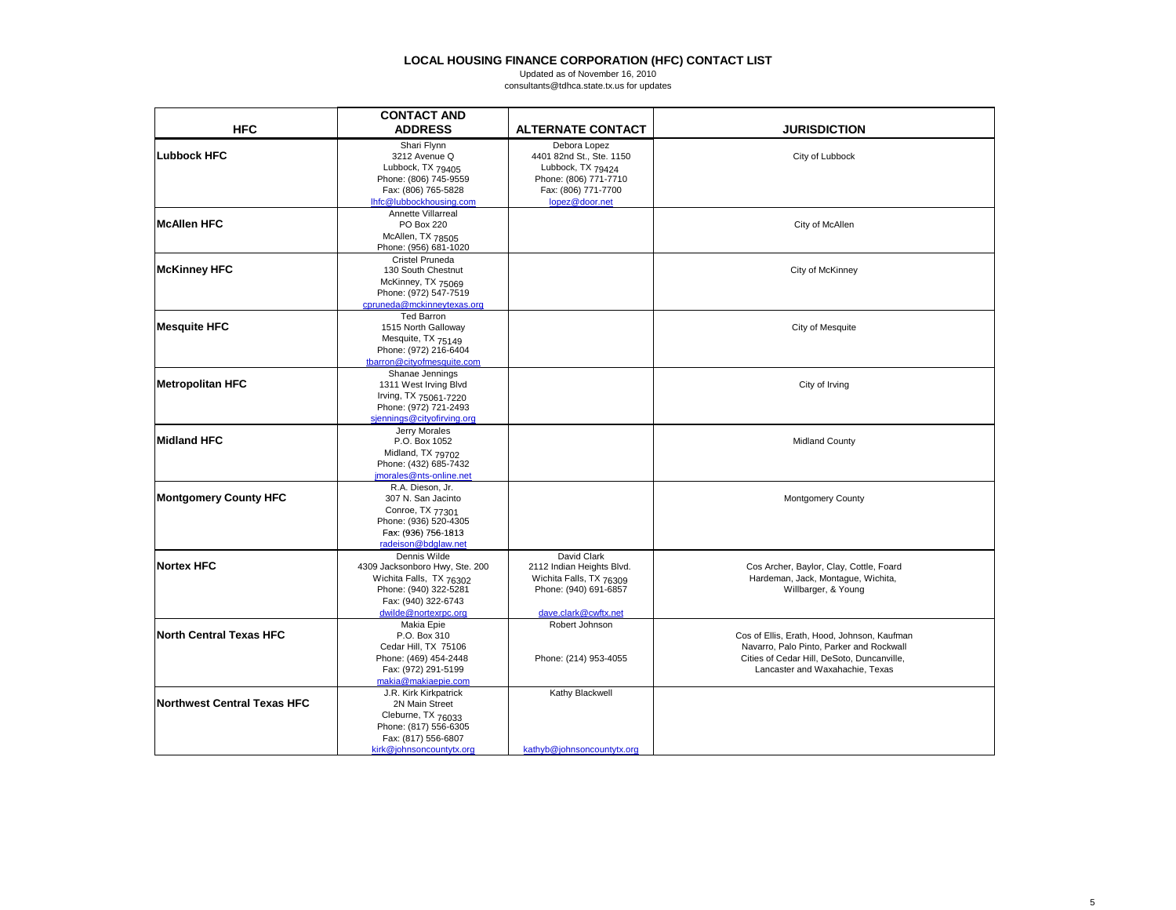|                              | <b>CONTACT AND</b>                                                                                                                                |                                                                                                                                 |                                                                                                                                                                          |
|------------------------------|---------------------------------------------------------------------------------------------------------------------------------------------------|---------------------------------------------------------------------------------------------------------------------------------|--------------------------------------------------------------------------------------------------------------------------------------------------------------------------|
| <b>HFC</b>                   | <b>ADDRESS</b>                                                                                                                                    | <b>ALTERNATE CONTACT</b>                                                                                                        | <b>JURISDICTION</b>                                                                                                                                                      |
| Lubbock HFC                  | Shari Flynn<br>3212 Avenue Q<br>Lubbock, TX 79405<br>Phone: (806) 745-9559<br>Fax: (806) 765-5828<br>Ihfc@lubbockhousing.com                      | Debora Lopez<br>4401 82nd St., Ste. 1150<br>Lubbock, TX 79424<br>Phone: (806) 771-7710<br>Fax: (806) 771-7700<br>lopez@door.net | City of Lubbock                                                                                                                                                          |
| McAllen HFC                  | Annette Villarreal<br>PO Box 220<br>McAllen, TX 78505<br>Phone: (956) 681-1020                                                                    |                                                                                                                                 | City of McAllen                                                                                                                                                          |
| <b>McKinney HFC</b>          | Cristel Pruneda<br>130 South Chestnut<br>McKinney, TX 75069<br>Phone: (972) 547-7519<br>cpruneda@mckinneytexas.org                                |                                                                                                                                 | City of McKinney                                                                                                                                                         |
| <b>Mesquite HFC</b>          | Ted Barron<br>1515 North Galloway<br>Mesquite, TX 75149<br>Phone: (972) 216-6404<br>tbarron@cityofmesquite.com                                    |                                                                                                                                 | City of Mesquite                                                                                                                                                         |
| <b>Metropolitan HFC</b>      | Shanae Jennings<br>1311 West Irving Blvd<br>Irving, TX 75061-7220<br>Phone: (972) 721-2493<br>siennings@cityofirving.org                          |                                                                                                                                 | City of Irving                                                                                                                                                           |
| <b>Midland HFC</b>           | Jerry Morales<br>P.O. Box 1052<br>Midland, TX 79702<br>Phone: (432) 685-7432<br>imorales@nts-online.net                                           |                                                                                                                                 | <b>Midland County</b>                                                                                                                                                    |
| <b>Montgomery County HFC</b> | R.A. Dieson. Jr.<br>307 N. San Jacinto<br>Conroe, TX 77301<br>Phone: (936) 520-4305<br>Fax: (936) 756-1813<br>radeison@bdglaw.net                 |                                                                                                                                 | <b>Montgomery County</b>                                                                                                                                                 |
| <b>Nortex HFC</b>            | Dennis Wilde<br>4309 Jacksonboro Hwy, Ste. 200<br>Wichita Falls, TX 76302<br>Phone: (940) 322-5281<br>Fax: (940) 322-6743<br>dwilde@nortexrpc.org | David Clark<br>2112 Indian Heights Blvd.<br>Wichita Falls, TX 76309<br>Phone: (940) 691-6857<br>dave.clark@cwftx.net            | Cos Archer, Baylor, Clay, Cottle, Foard<br>Hardeman, Jack, Montague, Wichita,<br>Willbarger, & Young                                                                     |
| North Central Texas HFC      | Makia Epie<br>P.O. Box 310<br>Cedar Hill, TX 75106<br>Phone: (469) 454-2448<br>Fax: (972) 291-5199<br>makia@makiaepie.com                         | Robert Johnson<br>Phone: (214) 953-4055                                                                                         | Cos of Ellis, Erath, Hood, Johnson, Kaufman<br>Navarro, Palo Pinto, Parker and Rockwall<br>Cities of Cedar Hill, DeSoto, Duncanville,<br>Lancaster and Waxahachie, Texas |
| Northwest Central Texas HFC  | J.R. Kirk Kirkpatrick<br>2N Main Street<br>Cleburne, TX 76033<br>Phone: (817) 556-6305<br>Fax: (817) 556-6807<br>kirk@johnsoncountytx.org         | Kathy Blackwell<br>kathyb@johnsoncountytx.org                                                                                   |                                                                                                                                                                          |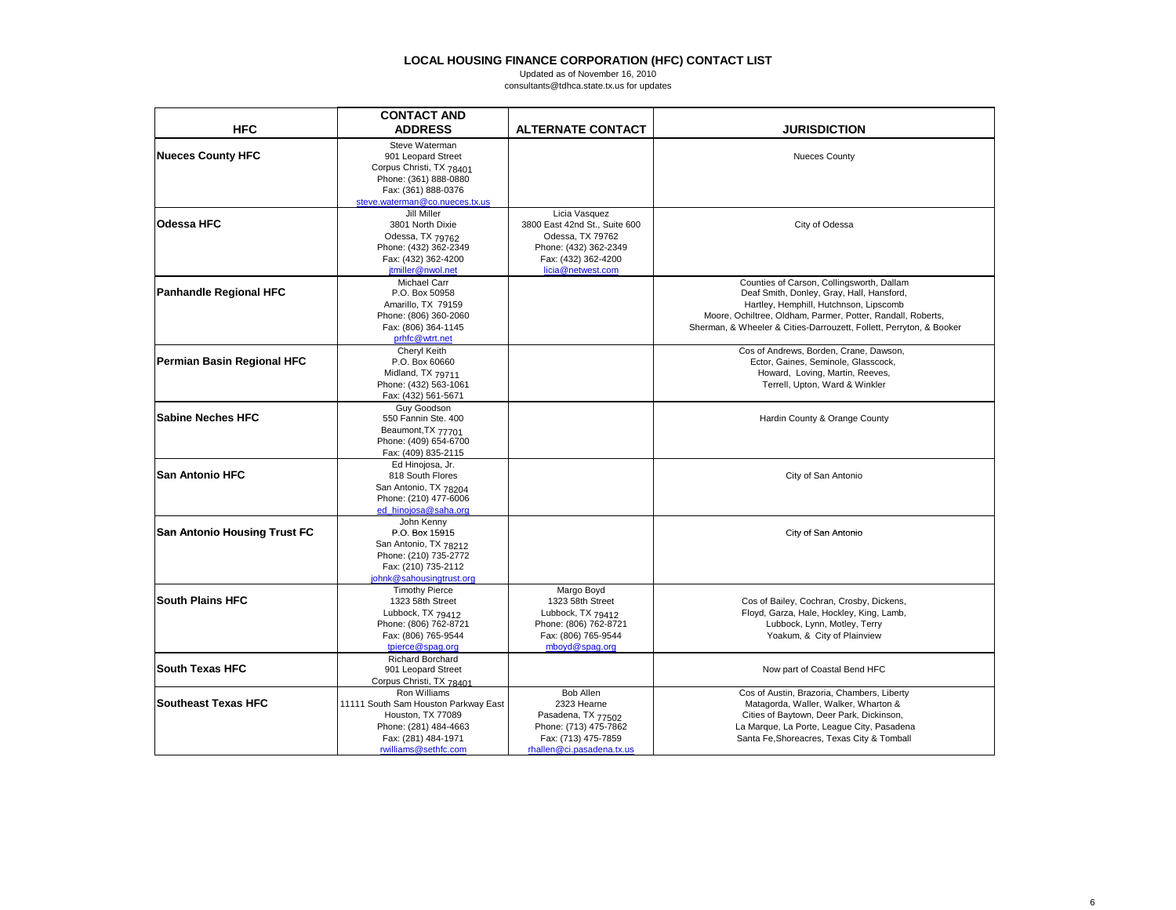|                                     | <b>CONTACT AND</b>                                |                                            |                                                                                      |
|-------------------------------------|---------------------------------------------------|--------------------------------------------|--------------------------------------------------------------------------------------|
| <b>HFC</b>                          | <b>ADDRESS</b>                                    | <b>ALTERNATE CONTACT</b>                   | <b>JURISDICTION</b>                                                                  |
|                                     | Steve Waterman                                    |                                            |                                                                                      |
| <b>Nueces County HFC</b>            | 901 Leopard Street                                |                                            | <b>Nueces County</b>                                                                 |
|                                     | Corpus Christi, TX 78401<br>Phone: (361) 888-0880 |                                            |                                                                                      |
|                                     | Fax: (361) 888-0376                               |                                            |                                                                                      |
|                                     | steve.waterman@co.nueces.tx.us                    |                                            |                                                                                      |
|                                     | Jill Miller                                       | Licia Vasquez                              |                                                                                      |
| <b>Odessa HFC</b>                   | 3801 North Dixie                                  | 3800 East 42nd St., Suite 600              | City of Odessa                                                                       |
|                                     | Odessa, TX 79762                                  | Odessa, TX 79762                           |                                                                                      |
|                                     | Phone: (432) 362-2349                             | Phone: (432) 362-2349                      |                                                                                      |
|                                     | Fax: (432) 362-4200                               | Fax: (432) 362-4200                        |                                                                                      |
|                                     | jtmiller@nwol.net                                 | licia@netwest.com                          |                                                                                      |
|                                     | Michael Carr                                      |                                            | Counties of Carson, Collingsworth, Dallam                                            |
| <b>Panhandle Regional HFC</b>       | P.O. Box 50958                                    |                                            | Deaf Smith, Donley, Gray, Hall, Hansford,                                            |
|                                     | Amarillo, TX 79159                                |                                            | Hartley, Hemphill, Hutchnson, Lipscomb                                               |
|                                     | Phone: (806) 360-2060                             |                                            | Moore, Ochiltree, Oldham, Parmer, Potter, Randall, Roberts,                          |
|                                     | Fax: (806) 364-1145                               |                                            | Sherman, & Wheeler & Cities-Darrouzett, Follett, Perryton, & Booker                  |
|                                     | prhfc@wtrt.net                                    |                                            |                                                                                      |
|                                     | Cheryl Keith                                      |                                            | Cos of Andrews, Borden, Crane, Dawson,                                               |
| Permian Basin Regional HFC          | P.O. Box 60660                                    |                                            | Ector, Gaines, Seminole, Glasscock,                                                  |
|                                     | Midland, TX 79711                                 |                                            | Howard, Loving, Martin, Reeves,                                                      |
|                                     | Phone: (432) 563-1061                             |                                            | Terrell, Upton, Ward & Winkler                                                       |
|                                     | Fax: (432) 561-5671                               |                                            |                                                                                      |
| <b>Sabine Neches HFC</b>            | Guy Goodson<br>550 Fannin Ste. 400                |                                            | Hardin County & Orange County                                                        |
|                                     | Beaumont, TX 77701                                |                                            |                                                                                      |
|                                     | Phone: (409) 654-6700                             |                                            |                                                                                      |
|                                     | Fax: (409) 835-2115                               |                                            |                                                                                      |
|                                     | Ed Hinojosa, Jr.                                  |                                            |                                                                                      |
| <b>ISan Antonio HFC</b>             | 818 South Flores                                  |                                            | City of San Antonio                                                                  |
|                                     | San Antonio, TX 78204                             |                                            |                                                                                      |
|                                     | Phone: (210) 477-6006                             |                                            |                                                                                      |
|                                     | ed hinojosa@saha.org                              |                                            |                                                                                      |
|                                     | John Kenny                                        |                                            |                                                                                      |
| <b>San Antonio Housing Trust FC</b> | P.O. Box 15915                                    |                                            | City of San Antonio                                                                  |
|                                     | San Antonio, TX 78212                             |                                            |                                                                                      |
|                                     | Phone: (210) 735-2772                             |                                            |                                                                                      |
|                                     | Fax: (210) 735-2112                               |                                            |                                                                                      |
|                                     | johnk@sahousingtrust.org                          |                                            |                                                                                      |
| <b>South Plains HFC</b>             | <b>Timothy Pierce</b>                             | Margo Boyd                                 |                                                                                      |
|                                     | 1323 58th Street                                  | 1323 58th Street                           | Cos of Bailey, Cochran, Crosby, Dickens,<br>Floyd, Garza, Hale, Hockley, King, Lamb, |
|                                     | Lubbock, TX 79412                                 | Lubbock, TX 79412<br>Phone: (806) 762-8721 | Lubbock, Lynn, Motley, Terry                                                         |
|                                     | Phone: (806) 762-8721<br>Fax: (806) 765-9544      | Fax: (806) 765-9544                        | Yoakum, & City of Plainview                                                          |
|                                     | tpierce@spaq.org                                  | mboyd@spag.org                             |                                                                                      |
|                                     | <b>Richard Borchard</b>                           |                                            |                                                                                      |
| <b>South Texas HFC</b>              | 901 Leopard Street                                |                                            | Now part of Coastal Bend HFC                                                         |
|                                     | Corpus Christi, TX 78401                          |                                            |                                                                                      |
|                                     | Ron Williams                                      | Bob Allen                                  | Cos of Austin, Brazoria, Chambers, Liberty                                           |
| <b>Southeast Texas HFC</b>          | 11111 South Sam Houston Parkway East              | 2323 Hearne                                | Matagorda, Waller, Walker, Wharton &                                                 |
|                                     | Houston, TX 77089                                 | Pasadena, TX 77502                         | Cities of Baytown, Deer Park, Dickinson,                                             |
|                                     | Phone: (281) 484-4663                             | Phone: (713) 475-7862                      | La Marque, La Porte, League City, Pasadena                                           |
|                                     | Fax: (281) 484-1971                               | Fax: (713) 475-7859                        | Santa Fe, Shoreacres, Texas City & Tomball                                           |
|                                     | rwilliams@sethfc.com                              | rhallen@ci.pasadena.tx.us                  |                                                                                      |